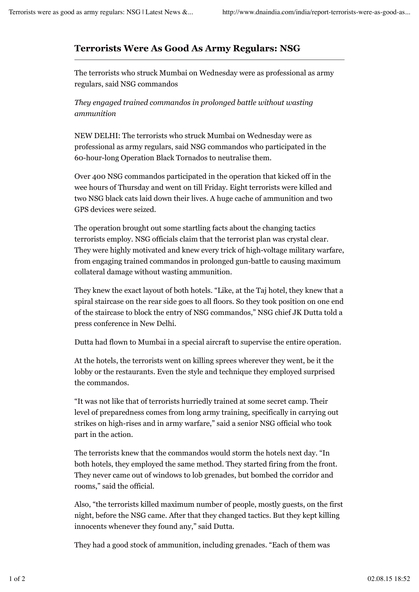## **Terrorists Were As Good As Army Regulars: NSG**

The terrorists who struck Mumbai on Wednesday were as professional as army regulars, said NSG commandos

*They engaged trained commandos in prolonged battle without wasting ammunition*

NEW DELHI: The terrorists who struck Mumbai on Wednesday were as professional as army regulars, said NSG commandos who participated in the 60-hour-long Operation Black Tornados to neutralise them.

Over 400 NSG commandos participated in the operation that kicked off in the wee hours of Thursday and went on till Friday. Eight terrorists were killed and two NSG black cats laid down their lives. A huge cache of ammunition and two GPS devices were seized.

The operation brought out some startling facts about the changing tactics terrorists employ. NSG officials claim that the terrorist plan was crystal clear. They were highly motivated and knew every trick of high-voltage military warfare, from engaging trained commandos in prolonged gun-battle to causing maximum collateral damage without wasting ammunition.

They knew the exact layout of both hotels. "Like, at the Taj hotel, they knew that a spiral staircase on the rear side goes to all floors. So they took position on one end of the staircase to block the entry of NSG commandos," NSG chief JK Dutta told a press conference in New Delhi.

Dutta had flown to Mumbai in a special aircraft to supervise the entire operation.

At the hotels, the terrorists went on killing sprees wherever they went, be it the lobby or the restaurants. Even the style and technique they employed surprised the commandos.

"It was not like that of terrorists hurriedly trained at some secret camp. Their level of preparedness comes from long army training, specifically in carrying out strikes on high-rises and in army warfare," said a senior NSG official who took part in the action.

The terrorists knew that the commandos would storm the hotels next day. "In both hotels, they employed the same method. They started firing from the front. They never came out of windows to lob grenades, but bombed the corridor and rooms," said the official.

Also, "the terrorists killed maximum number of people, mostly guests, on the first night, before the NSG came. After that they changed tactics. But they kept killing innocents whenever they found any," said Dutta.

They had a good stock of ammunition, including grenades. "Each of them was